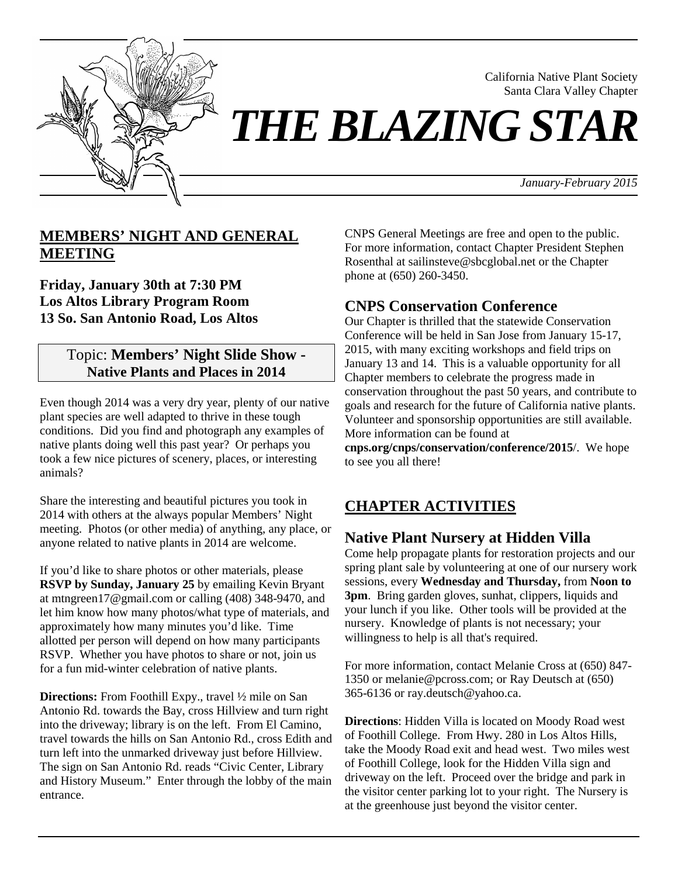

California Native Plant Society Santa Clara Valley Chapter

# *THE BLAZING STAR*

*January-February 2015*

# **MEMBERS' NIGHT AND GENERAL MEETING**

**Friday, January 30th at 7:30 PM Los Altos Library Program Room 13 So. San Antonio Road, Los Altos** 

## Topic: **Members' Night Slide Show - Native Plants and Places in 2014**

Even though 2014 was a very dry year, plenty of our native plant species are well adapted to thrive in these tough conditions. Did you find and photograph any examples of native plants doing well this past year? Or perhaps you took a few nice pictures of scenery, places, or interesting animals?

Share the interesting and beautiful pictures you took in 2014 with others at the always popular Members' Night meeting. Photos (or other media) of anything, any place, or anyone related to native plants in 2014 are welcome.

If you'd like to share photos or other materials, please **RSVP by Sunday, January 25** by emailing Kevin Bryant at mtngreen17@gmail.com or calling (408) 348-9470, and let him know how many photos/what type of materials, and approximately how many minutes you'd like. Time allotted per person will depend on how many participants RSVP. Whether you have photos to share or not, join us for a fun mid-winter celebration of native plants.

**Directions:** From Foothill Expy., travel  $\frac{1}{2}$  mile on San Antonio Rd. towards the Bay, cross Hillview and turn right into the driveway; library is on the left. From El Camino, travel towards the hills on San Antonio Rd., cross Edith and turn left into the unmarked driveway just before Hillview. The sign on San Antonio Rd. reads "Civic Center, Library and History Museum." Enter through the lobby of the main entrance.

CNPS General Meetings are free and open to the public. For more information, contact Chapter President Stephen Rosenthal at sailinsteve@sbcglobal.net or the Chapter phone at (650) 260-3450.

# **CNPS Conservation Conference**

Our Chapter is thrilled that the statewide Conservation Conference will be held in San Jose from January 15-17, 2015, with many exciting workshops and field trips on January 13 and 14. This is a valuable opportunity for all Chapter members to celebrate the progress made in conservation throughout the past 50 years, and contribute to goals and research for the future of California native plants. Volunteer and sponsorship opportunities are still available. More information can be found at

**cnps.org/cnps/conservation/conference/2015**/. We hope to see you all there!

# **CHAPTER ACTIVITIES**

# **Native Plant Nursery at Hidden Villa**

Come help propagate plants for restoration projects and our spring plant sale by volunteering at one of our nursery work sessions, every **Wednesday and Thursday,** from **Noon to 3pm**. Bring garden gloves, sunhat, clippers, liquids and your lunch if you like. Other tools will be provided at the nursery. Knowledge of plants is not necessary; your willingness to help is all that's required.

For more information, contact Melanie Cross at (650) 847- 1350 or melanie@pcross.com; or Ray Deutsch at (650) 365-6136 or ray.deutsch@yahoo.ca.

**Directions**: Hidden Villa is located on Moody Road west of Foothill College. From Hwy. 280 in Los Altos Hills, take the Moody Road exit and head west. Two miles west of Foothill College, look for the Hidden Villa sign and driveway on the left. Proceed over the bridge and park in the visitor center parking lot to your right. The Nursery is at the greenhouse just beyond the visitor center.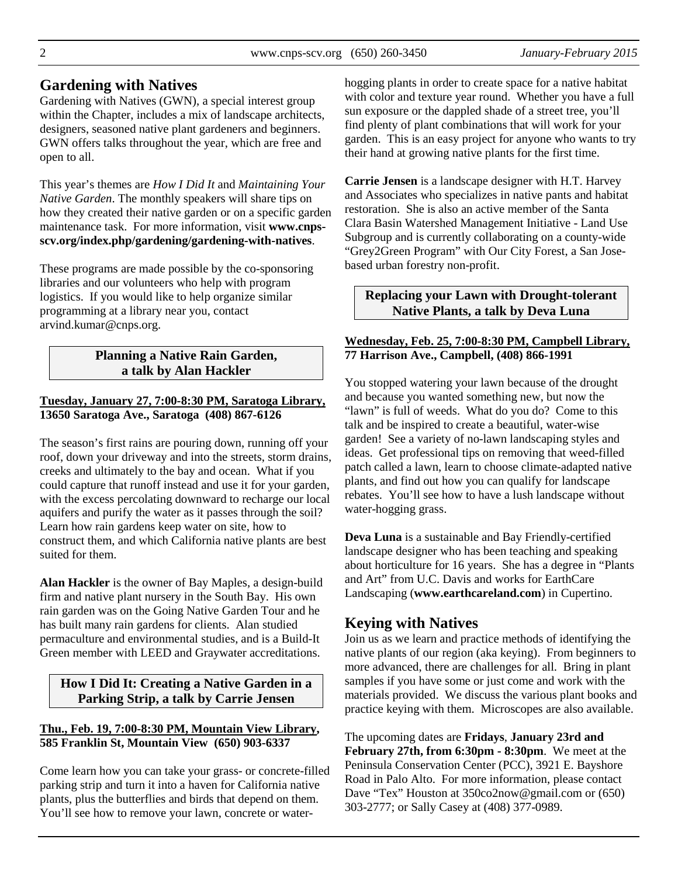## **Gardening with Natives**

Gardening with Natives (GWN), a special interest group within the Chapter, includes a mix of landscape architects, designers, seasoned native plant gardeners and beginners. GWN offers talks throughout the year, which are free and open to all.

This year's themes are *How I Did It* and *Maintaining Your Native Garden*. The monthly speakers will share tips on how they created their native garden or on a specific garden maintenance task. For more information, visit **www.cnpsscv.org/index.php/gardening/gardening-with-natives**.

These programs are made possible by the co-sponsoring libraries and our volunteers who help with program logistics. If you would like to help organize similar programming at a library near you, contact arvind.kumar@cnps.org.

## **Planning a Native Rain Garden, a talk by Alan Hackler**

### **Tuesday, January 27, 7:00-8:30 PM, Saratoga Library, 13650 Saratoga Ave., Saratoga (408) 867-6126**

The season's first rains are pouring down, running off your roof, down your driveway and into the streets, storm drains, creeks and ultimately to the bay and ocean. What if you could capture that runoff instead and use it for your garden, with the excess percolating downward to recharge our local aquifers and purify the water as it passes through the soil? Learn how rain gardens keep water on site, how to construct them, and which California native plants are best suited for them.

**Alan Hackler** is the owner of Bay Maples, a design-build firm and native plant nursery in the South Bay. His own rain garden was on the Going Native Garden Tour and he has built many rain gardens for clients. Alan studied permaculture and environmental studies, and is a Build-It Green member with LEED and Graywater accreditations.

## **How I Did It: Creating a Native Garden in a Parking Strip, a talk by Carrie Jensen**

#### **Thu., Feb. 19, 7:00-8:30 PM, Mountain View Library, 585 Franklin St, Mountain View (650) 903-6337**

Come learn how you can take your grass- or concrete-filled parking strip and turn it into a haven for California native plants, plus the butterflies and birds that depend on them. You'll see how to remove your lawn, concrete or waterhogging plants in order to create space for a native habitat with color and texture year round. Whether you have a full sun exposure or the dappled shade of a street tree, you'll find plenty of plant combinations that will work for your garden. This is an easy project for anyone who wants to try their hand at growing native plants for the first time.

**Carrie Jensen** is a landscape designer with H.T. Harvey and Associates who specializes in native pants and habitat restoration. She is also an active member of the Santa Clara Basin Watershed Management Initiative - Land Use Subgroup and is currently collaborating on a county-wide "Grey2Green Program" with Our City Forest, a San Josebased urban forestry non-profit.

## **Replacing your Lawn with Drought-tolerant Native Plants, a talk by Deva Luna**

#### **Wednesday, Feb. 25, 7:00-8:30 PM, Campbell Library, 77 Harrison Ave., Campbell, (408) 866-1991**

You stopped watering your lawn because of the drought and because you wanted something new, but now the "lawn" is full of weeds. What do you do? Come to this talk and be inspired to create a beautiful, water-wise garden! See a variety of no-lawn landscaping styles and ideas. Get professional tips on removing that weed-filled patch called a lawn, learn to choose climate-adapted native plants, and find out how you can qualify for landscape rebates. You'll see how to have a lush landscape without water-hogging grass.

**Deva Luna** is a sustainable and Bay Friendly-certified landscape designer who has been teaching and speaking about horticulture for 16 years. She has a degree in "Plants and Art" from U.C. Davis and works for EarthCare Landscaping (**www.earthcareland.com**) in Cupertino.

# **Keying with Natives**

Join us as we learn and practice methods of identifying the native plants of our region (aka keying). From beginners to more advanced, there are challenges for all. Bring in plant samples if you have some or just come and work with the materials provided. We discuss the various plant books and practice keying with them. Microscopes are also available.

The upcoming dates are **Fridays**, **January 23rd and February 27th, from 6:30pm - 8:30pm**. We meet at the Peninsula Conservation Center (PCC), 3921 E. Bayshore Road in Palo Alto. For more information, please contact Dave "Tex" Houston at 350co2now@gmail.com or (650) 303-2777; or Sally Casey at (408) 377-0989.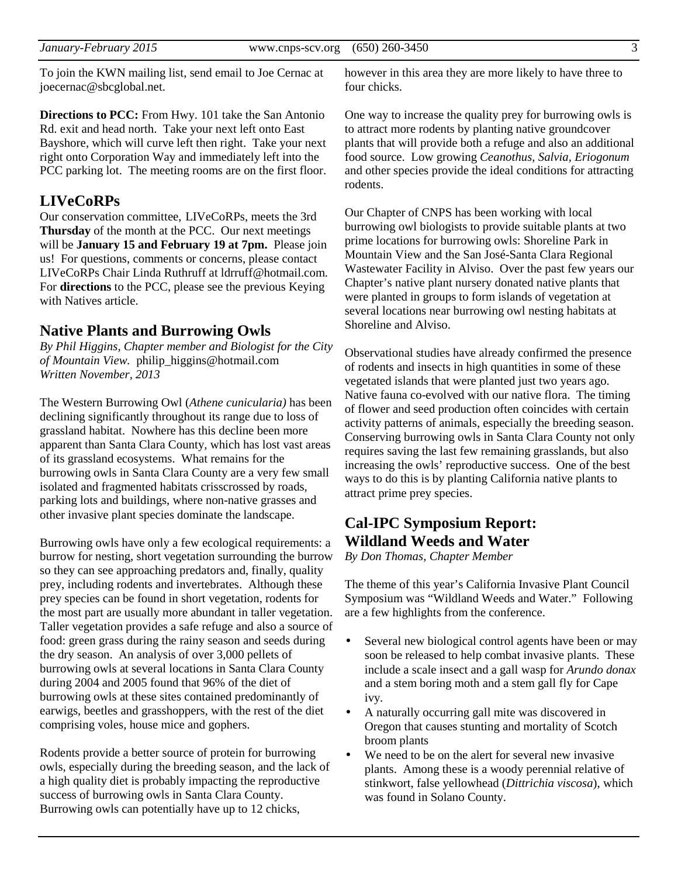To join the KWN mailing list, send email to Joe Cernac at joecernac@sbcglobal.net.

**Directions to PCC:** From Hwy. 101 take the San Antonio Rd. exit and head north. Take your next left onto East Bayshore, which will curve left then right. Take your next right onto Corporation Way and immediately left into the PCC parking lot. The meeting rooms are on the first floor.

## **LIVeCoRPs**

Our conservation committee, LIVeCoRPs, meets the 3rd **Thursday** of the month at the PCC. Our next meetings will be **January 15 and February 19 at 7pm.** Please join us! For questions, comments or concerns, please contact LIVeCoRPs Chair Linda Ruthruff at ldrruff@hotmail.com. For **directions** to the PCC, please see the previous Keying with Natives article.

### **Native Plants and Burrowing Owls**

*By Phil Higgins, Chapter member and Biologist for the City of Mountain View.* philip\_higgins@hotmail.com *Written November, 2013* 

The Western Burrowing Owl (*Athene cunicularia)* has been declining significantly throughout its range due to loss of grassland habitat. Nowhere has this decline been more apparent than Santa Clara County, which has lost vast areas of its grassland ecosystems. What remains for the burrowing owls in Santa Clara County are a very few small isolated and fragmented habitats crisscrossed by roads, parking lots and buildings, where non-native grasses and other invasive plant species dominate the landscape.

Burrowing owls have only a few ecological requirements: a burrow for nesting, short vegetation surrounding the burrow so they can see approaching predators and, finally, quality prey, including rodents and invertebrates. Although these prey species can be found in short vegetation, rodents for the most part are usually more abundant in taller vegetation. Taller vegetation provides a safe refuge and also a source of food: green grass during the rainy season and seeds during the dry season. An analysis of over 3,000 pellets of burrowing owls at several locations in Santa Clara County during 2004 and 2005 found that 96% of the diet of burrowing owls at these sites contained predominantly of earwigs, beetles and grasshoppers, with the rest of the diet comprising voles, house mice and gophers.

Rodents provide a better source of protein for burrowing owls, especially during the breeding season, and the lack of a high quality diet is probably impacting the reproductive success of burrowing owls in Santa Clara County. Burrowing owls can potentially have up to 12 chicks,

however in this area they are more likely to have three to four chicks.

One way to increase the quality prey for burrowing owls is to attract more rodents by planting native groundcover plants that will provide both a refuge and also an additional food source. Low growing *Ceanothus, Salvia, Eriogonum* and other species provide the ideal conditions for attracting rodents.

Our Chapter of CNPS has been working with local burrowing owl biologists to provide suitable plants at two prime locations for burrowing owls: Shoreline Park in Mountain View and the San José-Santa Clara Regional Wastewater Facility in Alviso. Over the past few years our Chapter's native plant nursery donated native plants that were planted in groups to form islands of vegetation at several locations near burrowing owl nesting habitats at Shoreline and Alviso.

Observational studies have already confirmed the presence of rodents and insects in high quantities in some of these vegetated islands that were planted just two years ago. Native fauna co-evolved with our native flora. The timing of flower and seed production often coincides with certain activity patterns of animals, especially the breeding season. Conserving burrowing owls in Santa Clara County not only requires saving the last few remaining grasslands, but also increasing the owls' reproductive success. One of the best ways to do this is by planting California native plants to attract prime prey species.

# **Cal-IPC Symposium Report: Wildland Weeds and Water**

*By Don Thomas, Chapter Member* 

The theme of this year's California Invasive Plant Council Symposium was "Wildland Weeds and Water." Following are a few highlights from the conference.

- Several new biological control agents have been or may soon be released to help combat invasive plants. These include a scale insect and a gall wasp for *Arundo donax* and a stem boring moth and a stem gall fly for Cape ivy.
- A naturally occurring gall mite was discovered in Oregon that causes stunting and mortality of Scotch broom plants
- We need to be on the alert for several new invasive plants. Among these is a woody perennial relative of stinkwort, false yellowhead (*Dittrichia viscosa*), which was found in Solano County.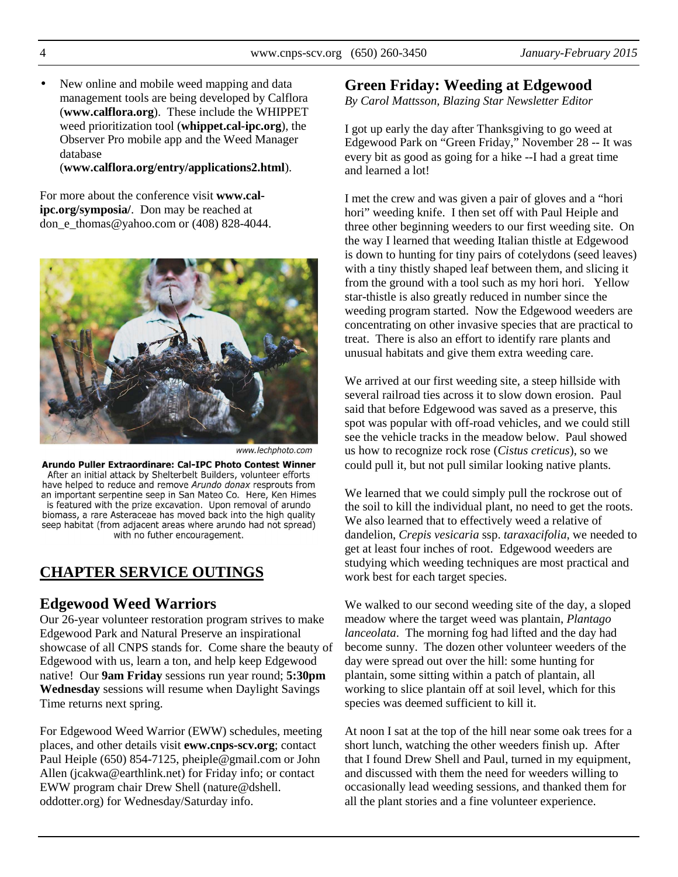• New online and mobile weed mapping and data management tools are being developed by Calflora (**www.calflora.org**). These include the WHIPPET weed prioritization tool (**whippet.cal-ipc.org**), the Observer Pro mobile app and the Weed Manager database

(**www.calflora.org/entry/applications2.html**).

For more about the conference visit **www.calipc.org/symposia/**. Don may be reached at don e thomas@yahoo.com or  $(408)$  828-4044.



www.lechphoto.com

Arundo Puller Extraordinare: Cal-IPC Photo Contest Winner After an initial attack by Shelterbelt Builders, volunteer efforts have helped to reduce and remove Arundo donax resprouts from an important serpentine seep in San Mateo Co. Here, Ken Himes is featured with the prize excavation. Upon removal of arundo biomass, a rare Asteraceae has moved back into the high quality seep habitat (from adjacent areas where arundo had not spread) with no futher encouragement.

# **CHAPTER SERVICE OUTINGS**

## **Edgewood Weed Warriors**

Our 26-year volunteer restoration program strives to make Edgewood Park and Natural Preserve an inspirational showcase of all CNPS stands for. Come share the beauty of Edgewood with us, learn a ton, and help keep Edgewood native! Our **9am Friday** sessions run year round; **5:30pm Wednesday** sessions will resume when Daylight Savings Time returns next spring.

For Edgewood Weed Warrior (EWW) schedules, meeting places, and other details visit **eww.cnps-scv.org**; contact Paul Heiple (650) 854-7125, pheiple@gmail.com or John Allen (jcakwa@earthlink.net) for Friday info; or contact EWW program chair Drew Shell (nature@dshell. oddotter.org) for Wednesday/Saturday info.

# **Green Friday: Weeding at Edgewood**

*By Carol Mattsson, Blazing Star Newsletter Editor* 

I got up early the day after Thanksgiving to go weed at Edgewood Park on "Green Friday," November 28 -- It was every bit as good as going for a hike --I had a great time and learned a lot!

I met the crew and was given a pair of gloves and a "hori hori" weeding knife. I then set off with Paul Heiple and three other beginning weeders to our first weeding site. On the way I learned that weeding Italian thistle at Edgewood is down to hunting for tiny pairs of cotelydons (seed leaves) with a tiny thistly shaped leaf between them, and slicing it from the ground with a tool such as my hori hori. Yellow star-thistle is also greatly reduced in number since the weeding program started. Now the Edgewood weeders are concentrating on other invasive species that are practical to treat. There is also an effort to identify rare plants and unusual habitats and give them extra weeding care.

We arrived at our first weeding site, a steep hillside with several railroad ties across it to slow down erosion. Paul said that before Edgewood was saved as a preserve, this spot was popular with off-road vehicles, and we could still see the vehicle tracks in the meadow below. Paul showed us how to recognize rock rose (*Cistus creticus*), so we could pull it, but not pull similar looking native plants.

We learned that we could simply pull the rockrose out of the soil to kill the individual plant, no need to get the roots. We also learned that to effectively weed a relative of dandelion, *Crepis vesicaria* ssp. *taraxacifolia*, we needed to get at least four inches of root. Edgewood weeders are studying which weeding techniques are most practical and work best for each target species.

We walked to our second weeding site of the day, a sloped meadow where the target weed was plantain, *Plantago lanceolata*. The morning fog had lifted and the day had become sunny. The dozen other volunteer weeders of the day were spread out over the hill: some hunting for plantain, some sitting within a patch of plantain, all working to slice plantain off at soil level, which for this species was deemed sufficient to kill it.

At noon I sat at the top of the hill near some oak trees for a short lunch, watching the other weeders finish up. After that I found Drew Shell and Paul, turned in my equipment, and discussed with them the need for weeders willing to occasionally lead weeding sessions, and thanked them for all the plant stories and a fine volunteer experience.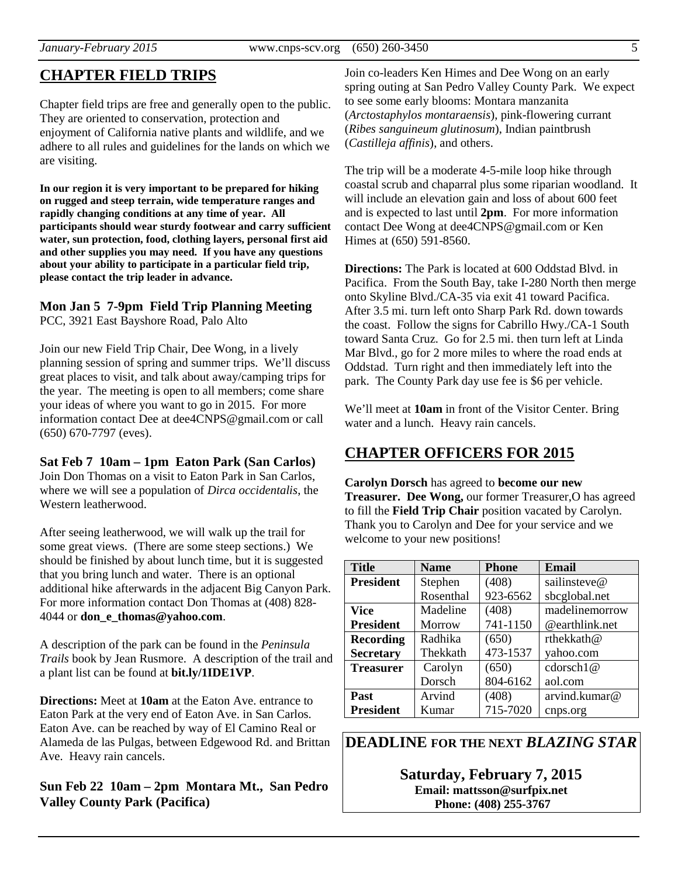# **CHAPTER FIELD TRIPS**

Chapter field trips are free and generally open to the public. They are oriented to conservation, protection and enjoyment of California native plants and wildlife, and we adhere to all rules and guidelines for the lands on which we are visiting.

**In our region it is very important to be prepared for hiking on rugged and steep terrain, wide temperature ranges and rapidly changing conditions at any time of year. All participants should wear sturdy footwear and carry sufficient water, sun protection, food, clothing layers, personal first aid and other supplies you may need. If you have any questions about your ability to participate in a particular field trip, please contact the trip leader in advance.** 

## **Mon Jan 5 7-9pm Field Trip Planning Meeting**

PCC, 3921 East Bayshore Road, Palo Alto

Join our new Field Trip Chair, Dee Wong, in a lively planning session of spring and summer trips. We'll discuss great places to visit, and talk about away/camping trips for the year. The meeting is open to all members; come share your ideas of where you want to go in 2015. For more information contact Dee at dee4CNPS@gmail.com or call (650) 670-7797 (eves).

### **Sat Feb 7 10am – 1pm Eaton Park (San Carlos)**

Join Don Thomas on a visit to Eaton Park in San Carlos, where we will see a population of *Dirca occidentalis*, the Western leatherwood.

After seeing leatherwood, we will walk up the trail for some great views. (There are some steep sections.) We should be finished by about lunch time, but it is suggested that you bring lunch and water. There is an optional additional hike afterwards in the adjacent Big Canyon Park. For more information contact Don Thomas at (408) 828- 4044 or **don\_e\_thomas@yahoo.com**.

A description of the park can be found in the *Peninsula Trails* book by Jean Rusmore. A description of the trail and a plant list can be found at **bit.ly/1IDE1VP**.

**Directions:** Meet at **10am** at the Eaton Ave. entrance to Eaton Park at the very end of Eaton Ave. in San Carlos. Eaton Ave. can be reached by way of El Camino Real or Alameda de las Pulgas, between Edgewood Rd. and Brittan Ave. Heavy rain cancels.

**Sun Feb 22 10am – 2pm Montara Mt., San Pedro Valley County Park (Pacifica)** 

Join co-leaders Ken Himes and Dee Wong on an early spring outing at San Pedro Valley County Park. We expect to see some early blooms: Montara manzanita (*Arctostaphylos montaraensis*), pink-flowering currant (*Ribes sanguineum glutinosum*), Indian paintbrush (*Castilleja affinis*), and others.

The trip will be a moderate 4-5-mile loop hike through coastal scrub and chaparral plus some riparian woodland. It will include an elevation gain and loss of about 600 feet and is expected to last until **2pm**. For more information contact Dee Wong at dee4CNPS@gmail.com or Ken Himes at (650) 591-8560.

**Directions:** The Park is located at 600 Oddstad Blvd. in Pacifica. From the South Bay, take I-280 North then merge onto Skyline Blvd./CA-35 via exit 41 toward Pacifica. After 3.5 mi. turn left onto Sharp Park Rd. down towards the coast. Follow the signs for Cabrillo Hwy./CA-1 South toward Santa Cruz. Go for 2.5 mi. then turn left at Linda Mar Blvd., go for 2 more miles to where the road ends at Oddstad. Turn right and then immediately left into the park. The County Park day use fee is \$6 per vehicle.

We'll meet at **10am** in front of the Visitor Center. Bring water and a lunch. Heavy rain cancels.

## **CHAPTER OFFICERS FOR 2015**

**Carolyn Dorsch** has agreed to **become our new Treasurer. Dee Wong,** our former Treasurer,O has agreed to fill the **Field Trip Chair** position vacated by Carolyn. Thank you to Carolyn and Dee for your service and we welcome to your new positions!

| <b>Title</b>     | <b>Name</b> | <b>Phone</b> | Email          |
|------------------|-------------|--------------|----------------|
| <b>President</b> | Stephen     | (408)        | sailinsteve@   |
|                  | Rosenthal   | 923-6562     | sbcglobal.net  |
| <b>Vice</b>      | Madeline    | (408)        | madelinemorrow |
| <b>President</b> | Morrow      | 741-1150     | @earthlink.net |
| <b>Recording</b> | Radhika     | (650)        | rthekkath@     |
| <b>Secretary</b> | Thekkath    | 473-1537     | yahoo.com      |
| <b>Treasurer</b> | Carolyn     | (650)        | cdorsch1@      |
|                  | Dorsch      | 804-6162     | aol.com        |
| Past             | Arvind      | (408)        | arvind.kumar@  |
| President        | Kumar       | 715-7020     | cnps.org       |

**DEADLINE FOR THE NEXT** *BLAZING STAR* 

**Saturday, February 7, 2015 Email: mattsson@surfpix.net Phone: (408) 255-3767**